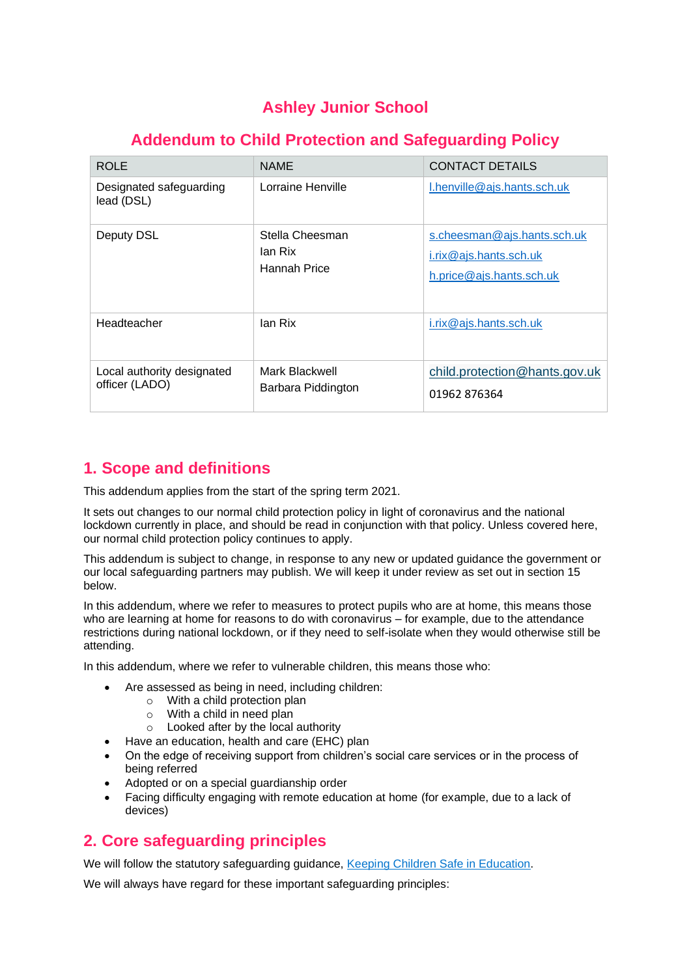# **Ashley Junior School**

# **Addendum to Child Protection and Safeguarding Policy**

| <b>ROLE</b>                                  | <b>NAME</b>                                | <b>CONTACT DETAILS</b>                                                                   |
|----------------------------------------------|--------------------------------------------|------------------------------------------------------------------------------------------|
| Designated safeguarding<br>lead (DSL)        | Lorraine Henville                          | $l.$ henville@ajs.hants.sch.uk                                                           |
| Deputy DSL                                   | Stella Cheesman<br>lan Rix<br>Hannah Price | s.cheesman@ajs.hants.sch.uk<br>$i.$ rix $@$ ajs.hants.sch.uk<br>h.price@ajs.hants.sch.uk |
| Headteacher                                  | lan Rix                                    | i.rix@ajs.hants.sch.uk                                                                   |
| Local authority designated<br>officer (LADO) | Mark Blackwell<br>Barbara Piddington       | child.protection@hants.gov.uk<br>01962 876364                                            |

# **1. Scope and definitions**

This addendum applies from the start of the spring term 2021.

It sets out changes to our normal child protection policy in light of coronavirus and the national lockdown currently in place, and should be read in conjunction with that policy. Unless covered here, our normal child protection policy continues to apply.

This addendum is subject to change, in response to any new or updated guidance the government or our local safeguarding partners may publish. We will keep it under review as set out in section 15 below.

In this addendum, where we refer to measures to protect pupils who are at home, this means those who are learning at home for reasons to do with coronavirus – for example, due to the attendance restrictions during national lockdown, or if they need to self-isolate when they would otherwise still be attending.

In this addendum, where we refer to vulnerable children, this means those who:

- Are assessed as being in need, including children:
	- o With a child protection plan
	- o With a child in need plan
	- o Looked after by the local authority
- Have an education, health and care (EHC) plan
- On the edge of receiving support from children's social care services or in the process of being referred
- Adopted or on a special guardianship order
- Facing difficulty engaging with remote education at home (for example, due to a lack of devices)

# **2. Core safeguarding principles**

We will follow the statutory safeguarding guidance, [Keeping Children Safe in Education.](https://www.gov.uk/government/publications/keeping-children-safe-in-education--2)

We will always have regard for these important safeguarding principles: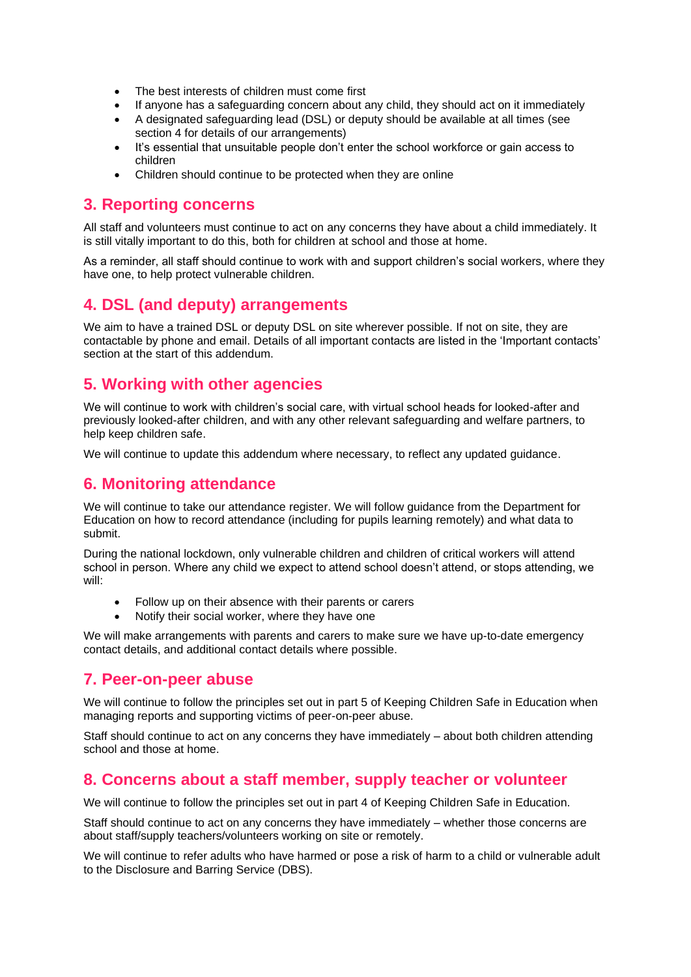- The best interests of children must come first
- If anyone has a safeguarding concern about any child, they should act on it immediately
- A designated safeguarding lead (DSL) or deputy should be available at all times (see section 4 for details of our arrangements)
- It's essential that unsuitable people don't enter the school workforce or gain access to children
- Children should continue to be protected when they are online

### **3. Reporting concerns**

All staff and volunteers must continue to act on any concerns they have about a child immediately. It is still vitally important to do this, both for children at school and those at home.

As a reminder, all staff should continue to work with and support children's social workers, where they have one, to help protect vulnerable children.

## **4. DSL (and deputy) arrangements**

We aim to have a trained DSL or deputy DSL on site wherever possible. If not on site, they are contactable by phone and email. Details of all important contacts are listed in the 'Important contacts' section at the start of this addendum.

## **5. Working with other agencies**

We will continue to work with children's social care, with virtual school heads for looked-after and previously looked-after children, and with any other relevant safeguarding and welfare partners, to help keep children safe.

We will continue to update this addendum where necessary, to reflect any updated guidance.

## **6. Monitoring attendance**

We will continue to take our attendance register. We will follow guidance from the Department for Education on how to record attendance (including for pupils learning remotely) and what data to submit.

During the national lockdown, only vulnerable children and children of critical workers will attend school in person. Where any child we expect to attend school doesn't attend, or stops attending, we will:

- Follow up on their absence with their parents or carers
- Notify their social worker, where they have one

We will make arrangements with parents and carers to make sure we have up-to-date emergency contact details, and additional contact details where possible.

### **7. Peer-on-peer abuse**

We will continue to follow the principles set out in part 5 of Keeping Children Safe in Education when managing reports and supporting victims of peer-on-peer abuse.

Staff should continue to act on any concerns they have immediately – about both children attending school and those at home.

### **8. Concerns about a staff member, supply teacher or volunteer**

We will continue to follow the principles set out in part 4 of Keeping Children Safe in Education.

Staff should continue to act on any concerns they have immediately – whether those concerns are about staff/supply teachers/volunteers working on site or remotely.

We will continue to refer adults who have harmed or pose a risk of harm to a child or vulnerable adult to the Disclosure and Barring Service (DBS).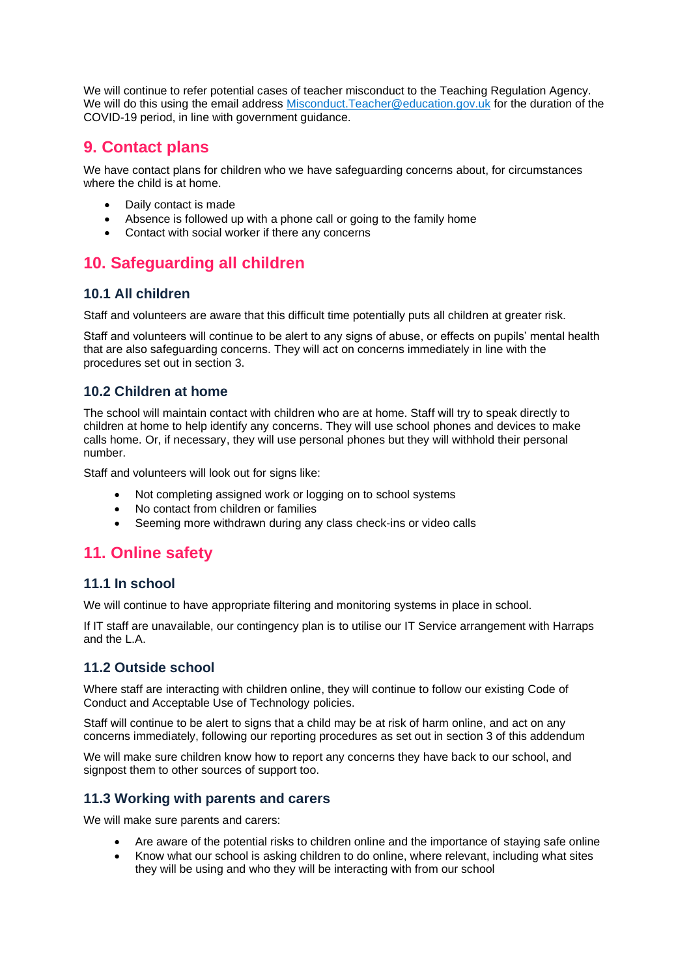We will continue to refer potential cases of teacher misconduct to the Teaching Regulation Agency. We will do this using the email address [Misconduct.Teacher@education.gov.uk](mailto:Misconduct.Teacher@education.gov.uk) for the duration of the COVID-19 period, in line with government guidance.

## **9. Contact plans**

We have contact plans for children who we have safeguarding concerns about, for circumstances where the child is at home.

- Daily contact is made
- Absence is followed up with a phone call or going to the family home
- Contact with social worker if there any concerns

# **10. Safeguarding all children**

#### **10.1 All children**

Staff and volunteers are aware that this difficult time potentially puts all children at greater risk.

Staff and volunteers will continue to be alert to any signs of abuse, or effects on pupils' mental health that are also safeguarding concerns. They will act on concerns immediately in line with the procedures set out in section 3.

#### **10.2 Children at home**

The school will maintain contact with children who are at home. Staff will try to speak directly to children at home to help identify any concerns. They will use school phones and devices to make calls home. Or, if necessary, they will use personal phones but they will withhold their personal number.

Staff and volunteers will look out for signs like:

- Not completing assigned work or logging on to school systems
- No contact from children or families
- Seeming more withdrawn during any class check-ins or video calls

# **11. Online safety**

#### **11.1 In school**

We will continue to have appropriate filtering and monitoring systems in place in school.

If IT staff are unavailable, our contingency plan is to utilise our IT Service arrangement with Harraps and the L.A.

#### **11.2 Outside school**

Where staff are interacting with children online, they will continue to follow our existing Code of Conduct and Acceptable Use of Technology policies.

Staff will continue to be alert to signs that a child may be at risk of harm online, and act on any concerns immediately, following our reporting procedures as set out in section 3 of this addendum

We will make sure children know how to report any concerns they have back to our school, and signpost them to other sources of support too.

#### **11.3 Working with parents and carers**

We will make sure parents and carers:

- Are aware of the potential risks to children online and the importance of staying safe online
- Know what our school is asking children to do online, where relevant, including what sites they will be using and who they will be interacting with from our school